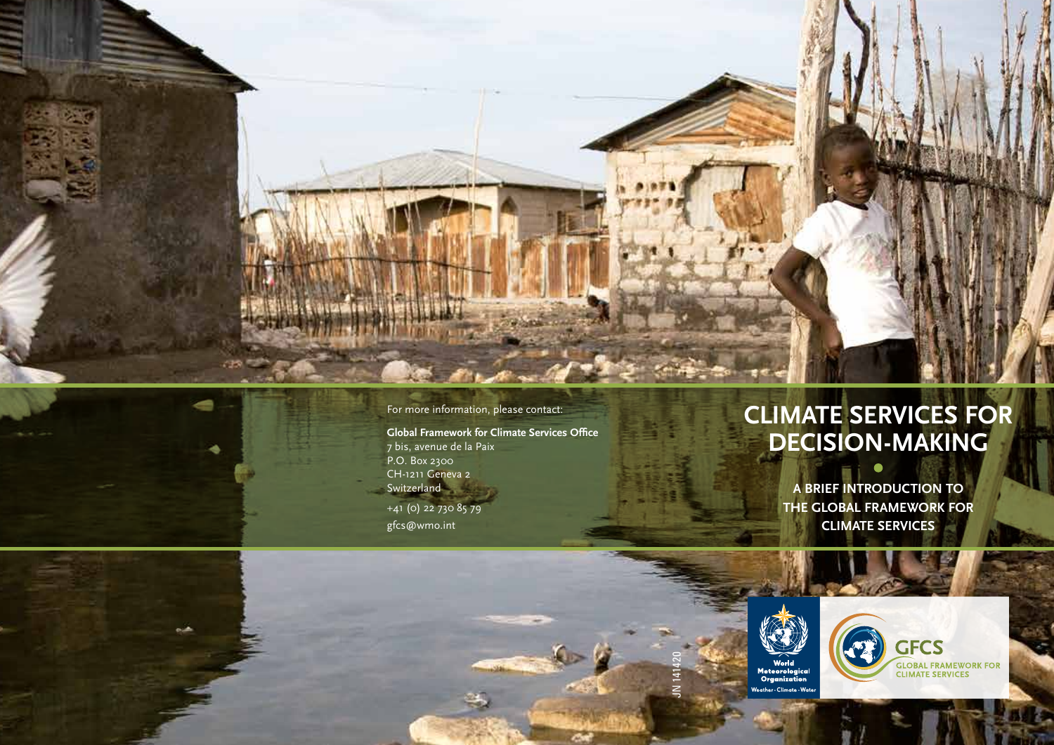### For more information, please contact:

**Global Framework for Climate Services Office** 7 bis, avenue de la Paix P.O. Box 2300 CH-1211 Geneva 2 **Switzerland** +41 (0) 22 730 85 79 gfcs@wmo.int

# **CLIMATE SERVICES FOR DECISION-MAKING**

**A BRIEF INTRODUCTION TO THE GLOBAL FRAMEWORK FOR CLIMATE SERVICES**



JN 141420

**GFCS GLOBAL FRAMEWORK FOR**<br>CLIMATE SERVICES